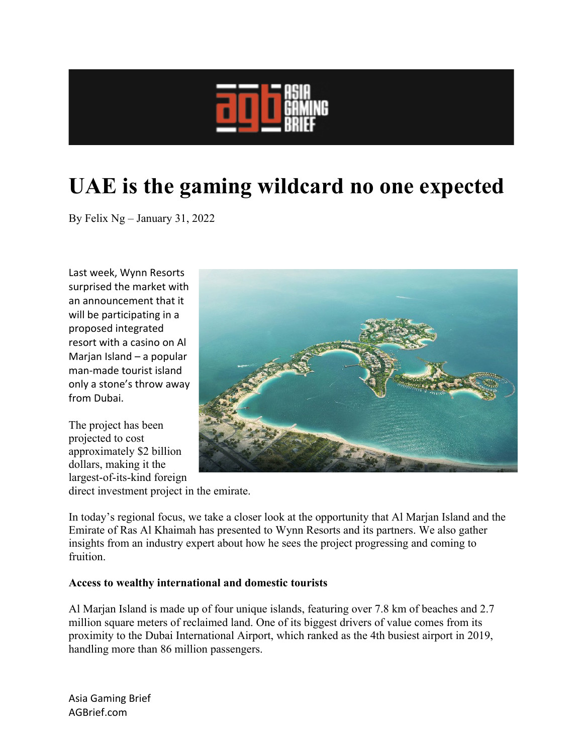

# **UAE is the gaming wildcard no one expected**

By Felix Ng – January 31, 2022

Last week, Wynn Resorts surprised the market with an announcement that it will be participating in a proposed integrated resort with a casino on Al Marjan Island – a popular man-made tourist island only a stone's throw away from Dubai.

The project has been projected to cost approximately \$2 billion dollars, making it the largest-of-its-kind foreign



direct investment project in the emirate.

In today's regional focus, we take a closer look at the opportunity that Al Marjan Island and the Emirate of Ras Al Khaimah has presented to Wynn Resorts and its partners. We also gather insights from an industry expert about how he sees the project progressing and coming to fruition.

## **Access to wealthy international and domestic tourists**

Al Marjan Island is made up of four unique islands, featuring over 7.8 km of beaches and 2.7 million square meters of reclaimed land. One of its biggest drivers of value comes from its proximity to the Dubai International Airport, which ranked as the 4th busiest airport in 2019, handling more than 86 million passengers.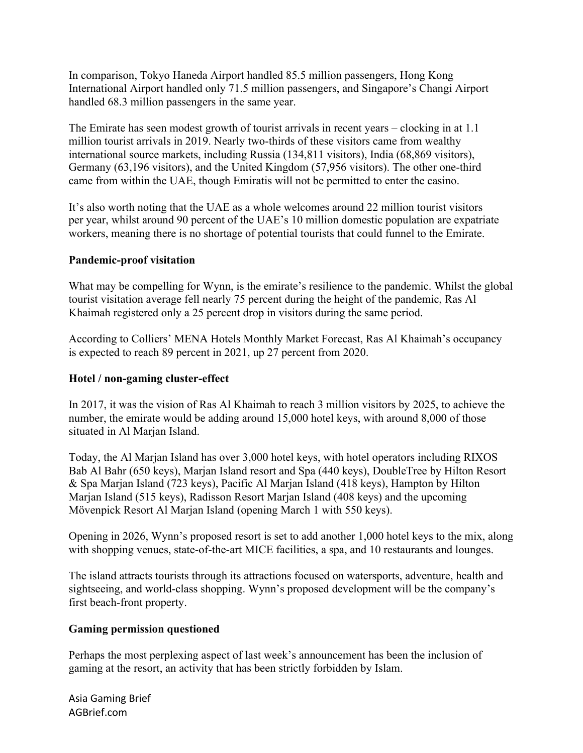In comparison, Tokyo Haneda Airport handled 85.5 million passengers, Hong Kong International Airport handled only 71.5 million passengers, and Singapore's Changi Airport handled 68.3 million passengers in the same year.

The Emirate has seen modest growth of tourist arrivals in recent years – clocking in at 1.1 million tourist arrivals in 2019. Nearly two-thirds of these visitors came from wealthy international source markets, including Russia (134,811 visitors), India (68,869 visitors), Germany (63,196 visitors), and the United Kingdom (57,956 visitors). The other one-third came from within the UAE, though Emiratis will not be permitted to enter the casino.

It's also worth noting that the UAE as a whole welcomes around 22 million tourist visitors per year, whilst around 90 percent of the UAE's 10 million domestic population are expatriate workers, meaning there is no shortage of potential tourists that could funnel to the Emirate.

## **Pandemic-proof visitation**

What may be compelling for Wynn, is the emirate's resilience to the pandemic. Whilst the global tourist visitation average fell nearly 75 percent during the height of the pandemic, Ras Al Khaimah registered only a 25 percent drop in visitors during the same period.

According to Colliers' MENA Hotels Monthly Market Forecast, Ras Al Khaimah's occupancy is expected to reach 89 percent in 2021, up 27 percent from 2020.

#### **Hotel / non-gaming cluster-effect**

In 2017, it was the vision of Ras Al Khaimah to reach 3 million visitors by 2025, to achieve the number, the emirate would be adding around 15,000 hotel keys, with around 8,000 of those situated in Al Marjan Island.

Today, the Al Marjan Island has over 3,000 hotel keys, with hotel operators including RIXOS Bab Al Bahr (650 keys), Marjan Island resort and Spa (440 keys), DoubleTree by Hilton Resort & Spa Marjan Island (723 keys), Pacific Al Marjan Island (418 keys), Hampton by Hilton Marjan Island (515 keys), Radisson Resort Marjan Island (408 keys) and the upcoming Mövenpick Resort Al Marjan Island (opening March 1 with 550 keys).

Opening in 2026, Wynn's proposed resort is set to add another 1,000 hotel keys to the mix, along with shopping venues, state-of-the-art MICE facilities, a spa, and 10 restaurants and lounges.

The island attracts tourists through its attractions focused on watersports, adventure, health and sightseeing, and world-class shopping. Wynn's proposed development will be the company's first beach-front property.

#### **Gaming permission questioned**

Perhaps the most perplexing aspect of last week's announcement has been the inclusion of gaming at the resort, an activity that has been strictly forbidden by Islam.

Asia Gaming Brief AGBrief.com